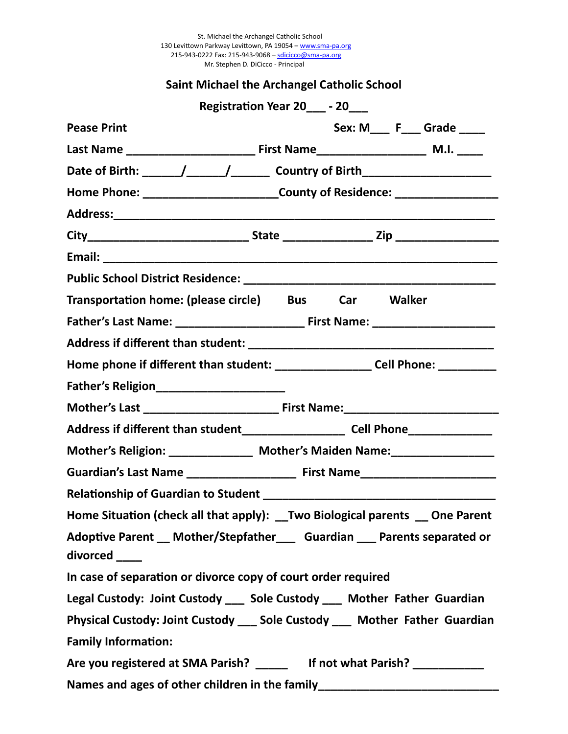St. Michael the Archangel Catholic School 130 Levittown Parkway Levittown, PA 19054 – <u>www.sma-pa.or</u>g 215-943-0222 Fax: 215-943-9068 – <u>sdicicco@sma-pa.or</u>g Mr. Stephen D. DiCicco - Principal

#### **Saint Michael the Archangel Catholic School**

|                                                                                              |                                                                                  | Registration Year 20_____ - 20____ |  |  |                            |  |
|----------------------------------------------------------------------------------------------|----------------------------------------------------------------------------------|------------------------------------|--|--|----------------------------|--|
| <b>Pease Print</b>                                                                           |                                                                                  |                                    |  |  | Sex: M____ F___ Grade ____ |  |
|                                                                                              |                                                                                  |                                    |  |  |                            |  |
|                                                                                              |                                                                                  |                                    |  |  |                            |  |
|                                                                                              | Home Phone: __________________________County of Residence: _____________________ |                                    |  |  |                            |  |
|                                                                                              |                                                                                  |                                    |  |  |                            |  |
|                                                                                              |                                                                                  |                                    |  |  |                            |  |
|                                                                                              |                                                                                  |                                    |  |  |                            |  |
|                                                                                              |                                                                                  |                                    |  |  |                            |  |
| Transportation home: (please circle) Bus Car Walker                                          |                                                                                  |                                    |  |  |                            |  |
|                                                                                              |                                                                                  |                                    |  |  |                            |  |
|                                                                                              |                                                                                  |                                    |  |  |                            |  |
| Home phone if different than student: ____________________Cell Phone: __________             |                                                                                  |                                    |  |  |                            |  |
| Father's Religion________________________                                                    |                                                                                  |                                    |  |  |                            |  |
|                                                                                              |                                                                                  |                                    |  |  |                            |  |
| Address if different than student_______________________ Cell Phone_____________             |                                                                                  |                                    |  |  |                            |  |
| Mother's Religion: _______________ Mother's Maiden Name: _________________                   |                                                                                  |                                    |  |  |                            |  |
| Guardian's Last Name _______________________ First Name_________________________             |                                                                                  |                                    |  |  |                            |  |
|                                                                                              |                                                                                  |                                    |  |  |                            |  |
| Home Situation (check all that apply): __Two Biological parents __ One Parent                |                                                                                  |                                    |  |  |                            |  |
| Adoptive Parent __ Mother/Stepfather ____ Guardian ___ Parents separated or<br>divorced ____ |                                                                                  |                                    |  |  |                            |  |
| In case of separation or divorce copy of court order required                                |                                                                                  |                                    |  |  |                            |  |
| Legal Custody: Joint Custody ___ Sole Custody ___ Mother Father Guardian                     |                                                                                  |                                    |  |  |                            |  |
| Physical Custody: Joint Custody ___ Sole Custody ___ Mother Father Guardian                  |                                                                                  |                                    |  |  |                            |  |
| <b>Family Information:</b>                                                                   |                                                                                  |                                    |  |  |                            |  |
| Are you registered at SMA Parish? _______ If not what Parish? ____________                   |                                                                                  |                                    |  |  |                            |  |
| Names and ages of other children in the family__________________________________             |                                                                                  |                                    |  |  |                            |  |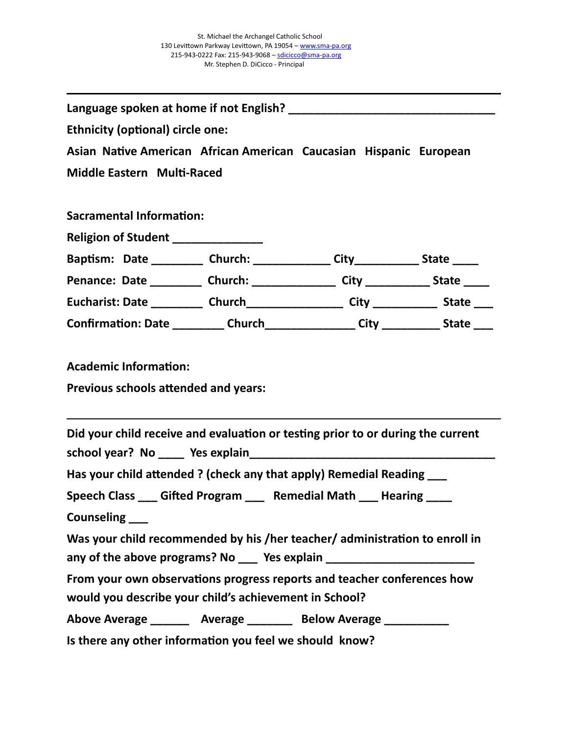| <b>Ethnicity (optional) circle one:</b>                                              |  |
|--------------------------------------------------------------------------------------|--|
| Asian Native American African American Caucasian Hispanic European                   |  |
| Middle Eastern Multi-Raced                                                           |  |
|                                                                                      |  |
| <b>Sacramental Information:</b>                                                      |  |
| Religion of Student ______________                                                   |  |
| Baptism: Date __________ Church: ______________ City_____________ State _____        |  |
| Penance: Date __________ Church: _______________ City ____________ State _____       |  |
| Eucharist: Date ___________ Church____________________ City _____________ State ____ |  |
| Confirmation: Date _________ Church________________ City __________ State ____       |  |
| Previous schools attended and years:                                                 |  |
| Did your child receive and evaluation or testing prior to or during the current      |  |
| Has your child attended ? (check any that apply) Remedial Reading ___                |  |
| Speech Class ___ Gifted Program ___ Remedial Math ___ Hearing ____                   |  |
| Counseling ___                                                                       |  |
| Was your child recommended by his /her teacher/ administration to enroll in          |  |
| any of the above programs? No ___ Yes explain __________________________________     |  |
| From your own observations progress reports and teacher conferences how              |  |
| would you describe your child's achievement in School?                               |  |
| Above Average _________ Average _________ Below Average ___________                  |  |
| Is there any other information you feel we should know?                              |  |
|                                                                                      |  |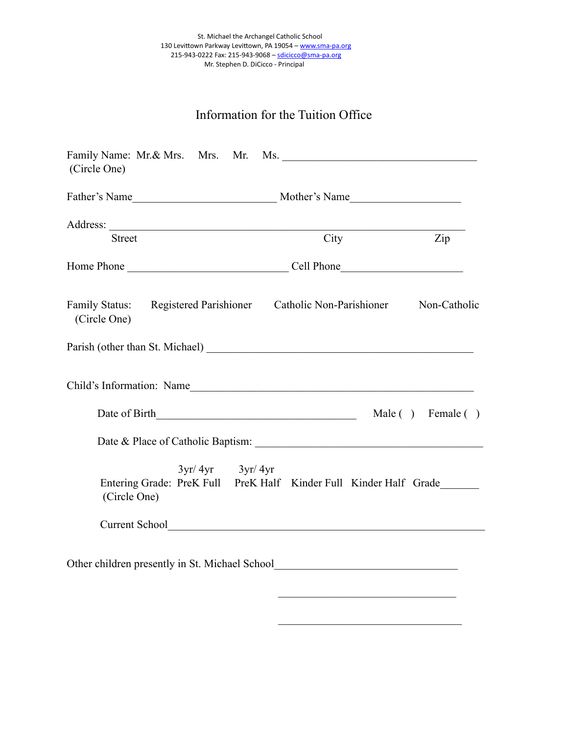## Information for the Tuition Office

| (Circle One)                                                                   |                                                                   |              |
|--------------------------------------------------------------------------------|-------------------------------------------------------------------|--------------|
|                                                                                |                                                                   |              |
|                                                                                |                                                                   |              |
| <b>Street</b>                                                                  | City                                                              | Zip          |
|                                                                                |                                                                   |              |
| Family Status: Registered Parishioner Catholic Non-Parishioner<br>(Circle One) |                                                                   | Non-Catholic |
|                                                                                |                                                                   |              |
| Child's Information: Name                                                      |                                                                   |              |
|                                                                                |                                                                   |              |
|                                                                                | Date & Place of Catholic Baptism:                                 |              |
| $3yr/4yr$ $3yr/4yr$                                                            |                                                                   |              |
| (Circle One)                                                                   | Entering Grade: PreK Full PreK Half Kinder Full Kinder Half Grade |              |
|                                                                                |                                                                   |              |
|                                                                                |                                                                   |              |

 $\mathcal{L}_\text{max}$  , and the set of the set of the set of the set of the set of the set of the set of the set of the set of the set of the set of the set of the set of the set of the set of the set of the set of the set of the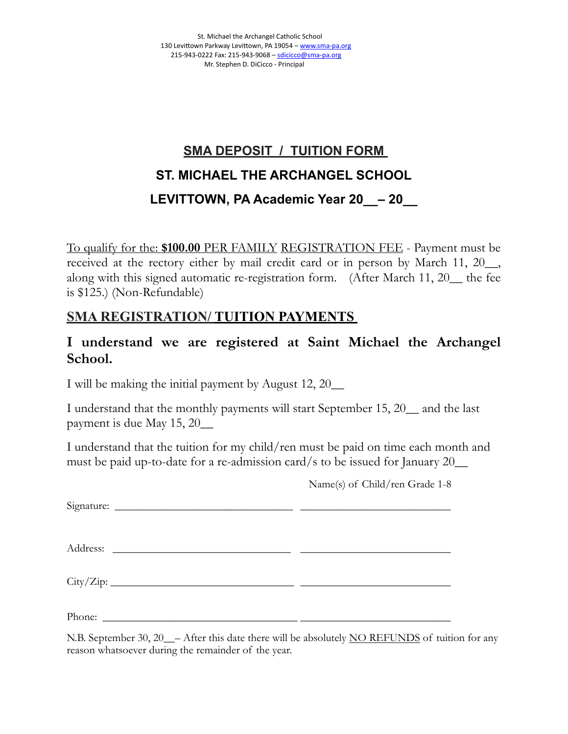# **SMA DEPOSIT / TUITION FORM ST. MICHAEL THE ARCHANGEL SCHOOL LEVITTOWN, PA Academic Year 20\_\_– 20\_\_**

To qualify for the: **\$100.00** PER FAMILY REGISTRATION FEE - Payment must be received at the rectory either by mail credit card or in person by March 11, 20\_\_, along with this signed automatic re-registration form. (After March 11, 20\_\_ the fee is \$125.) (Non-Refundable)

### **SMA REGISTRATION/ TUITION PAYMENTS**

### **I understand we are registered at Saint Michael the Archangel School.**

I will be making the initial payment by August 12, 20\_\_

I understand that the monthly payments will start September 15, 20\_\_ and the last payment is due May 15, 20\_\_

I understand that the tuition for my child/ren must be paid on time each month and must be paid up-to-date for a re-admission card/s to be issued for January 20\_\_

Name(s) of Child/ren Grade 1-8

 $Signature:$ 

Address: \_\_\_\_\_\_\_\_\_\_\_\_\_\_\_\_\_\_\_\_\_\_\_\_\_\_\_\_\_\_\_\_ \_\_\_\_\_\_\_\_\_\_\_\_\_\_\_\_\_\_\_\_\_\_\_\_\_\_\_

 $\text{City/Zip:}\_\_$ 

Phone: \_\_\_\_\_\_\_\_\_\_\_\_\_\_\_\_\_\_\_\_\_\_\_\_\_\_\_\_\_\_\_\_\_\_\_ \_\_\_\_\_\_\_\_\_\_\_\_\_\_\_\_\_\_\_\_\_\_\_\_\_\_\_

N.B. September 30, 20 $\sim$  – After this date there will be absolutely NO REFUNDS of tuition for any reason whatsoever during the remainder of the year.